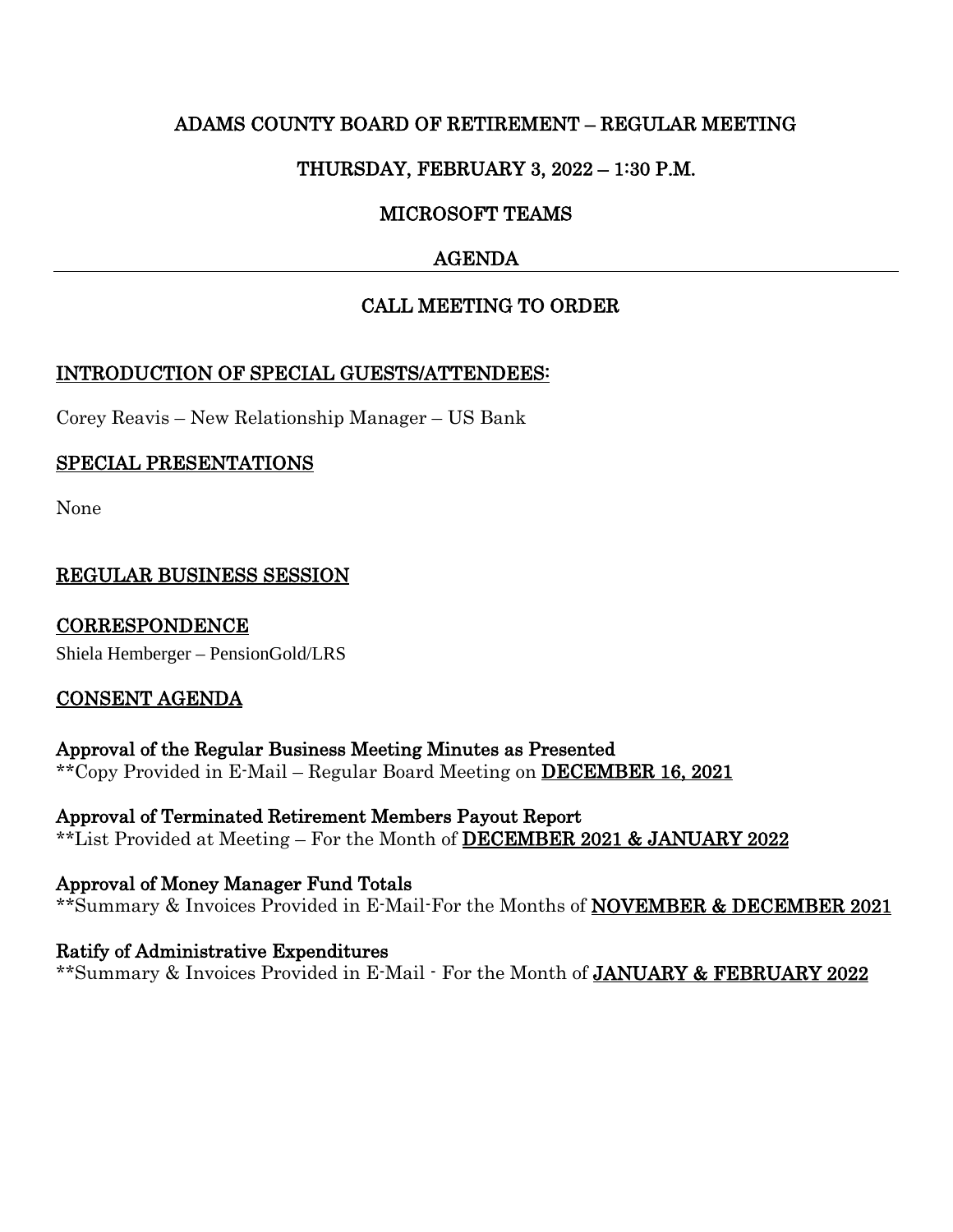# ADAMS COUNTY BOARD OF RETIREMENT – REGULAR MEETING

# THURSDAY, FEBRUARY 3, 2022 – 1:30 P.M.

# MICROSOFT TEAMS

# AGENDA

# CALL MEETING TO ORDER

#### INTRODUCTION OF SPECIAL GUESTS/ATTENDEES:

Corey Reavis – New Relationship Manager – US Bank

# SPECIAL PRESENTATIONS

None

# REGULAR BUSINESS SESSION

CORRESPONDENCE Shiela Hemberger – PensionGold/LRS

#### CONSENT AGENDA

Approval of the Regular Business Meeting Minutes as Presented \*\*Copy Provided in E-Mail – Regular Board Meeting on DECEMBER 16, 2021

Approval of Terminated Retirement Members Payout Report \*\*List Provided at Meeting – For the Month of DECEMBER 2021 & JANUARY 2022

Approval of Money Manager Fund Totals \*\*Summary & Invoices Provided in E-Mail-For the Months of **NOVEMBER & DECEMBER 2021** 

Ratify of Administrative Expenditures \*\*Summary & Invoices Provided in E-Mail - For the Month of JANUARY & FEBRUARY 2022